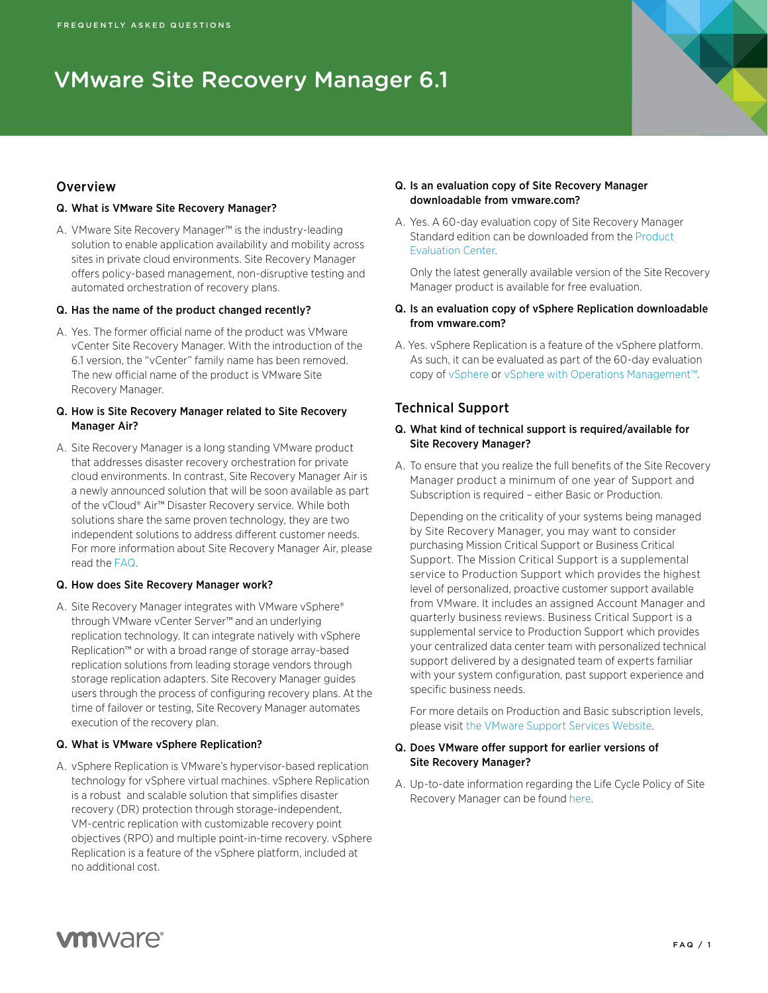# VMware Site Recovery Manager 6.1

# **Overview**

#### Q. What is VMware Site Recovery Manager?

A. VMware Site Recovery Manager™ is the industry-leading solution to enable application availability and mobility across sites in private cloud environments. Site Recovery Manager offers policy-based management, non-disruptive testing and automated orchestration of recovery plans.

#### Q. Has the name of the product changed recently?

A. Yes. The former official name of the product was VMware vCenter Site Recovery Manager. With the introduction of the 6.1 version, the "vCenter" family name has been removed. The new official name of the product is VMware Site Recovery Manager.

#### Q. How is Site Recovery Manager related to Site Recovery Manager Air?

A. Site Recovery Manager is a long standing VMware product that addresses disaster recovery orchestration for private cloud environments. In contrast, Site Recovery Manager Air is a newly announced solution that will be soon available as part of the vCloud® Air™ Disaster Recovery service. While both solutions share the same proven technology, they are two independent solutions to address different customer needs. For more information about Site Recovery Manager Air, please read the [FAQ](http://www.vmware.com/files/pdf/vcloud-air/site-recovery-manager-air-FAQ.pdf).

#### Q. How does Site Recovery Manager work?

A. Site Recovery Manager integrates with VMware vSphere® through VMware vCenter Server™ and an underlying replication technology. It can integrate natively with vSphere Replication™ or with a broad range of storage array-based replication solutions from leading storage vendors through storage replication adapters. Site Recovery Manager guides users through the process of configuring recovery plans. At the time of failover or testing, Site Recovery Manager automates execution of the recovery plan.

#### Q. What is VMware vSphere Replication?

A. vSphere Replication is VMware's hypervisor-based replication technology for vSphere virtual machines. vSphere Replication is a robust and scalable solution that simplifies disaster recovery (DR) protection through storage-independent, VM-centric replication with customizable recovery point objectives (RPO) and multiple point-in-time recovery. vSphere Replication is a feature of the vSphere platform, included at no additional cost.

#### Q. Is an evaluation copy of Site Recovery Manager downloadable from vmware.com?

A. Yes. A 60-day evaluation copy of Site Recovery Manager Standard edition can be downloaded from the [Product](https://my.vmware.com/web/vmware/evalcenter)  [Evaluation Center.](https://my.vmware.com/web/vmware/evalcenter)

Only the latest generally available version of the Site Recovery Manager product is available for free evaluation.

- Q. Is an evaluation copy of vSphere Replication downloadable from vmware com?
- A. Yes. vSphere Replication is a feature of the vSphere platform. As such, it can be evaluated as part of the 60-day evaluation copy of [vSphere](https://my.vmware.com/web/vmware/evalcenter?p=vmware-vsphere5-ent) or [vSphere with Operations Management™](https://my.vmware.com/web/vmware/evalcenter?p=vmware-vsphere-operations).

# Technical Support

#### Q. What kind of technical support is required/available for Site Recovery Manager?

A. To ensure that you realize the full benefits of the Site Recovery Manager product a minimum of one year of Support and Subscription is required – either Basic or Production.

Depending on the criticality of your systems being managed by Site Recovery Manager, you may want to consider purchasing Mission Critical Support or Business Critical Support. The Mission Critical Support is a supplemental service to Production Support which provides the highest level of personalized, proactive customer support available from VMware. It includes an assigned Account Manager and quarterly business reviews. Business Critical Support is a supplemental service to Production Support which provides your centralized data center team with personalized technical support delivered by a designated team of experts familiar with your system configuration, past support experience and specific business needs.

For more details on Production and Basic subscription levels, please visit the VMware Support Services Website.

#### Q. Does VMware offer support for earlier versions of Site Recovery Manager?

A. Up-to-date information regarding the Life Cycle Policy of Site Recovery Manager can be found [here](https://www.vmware.com/support/policies/enterprise-application.html).

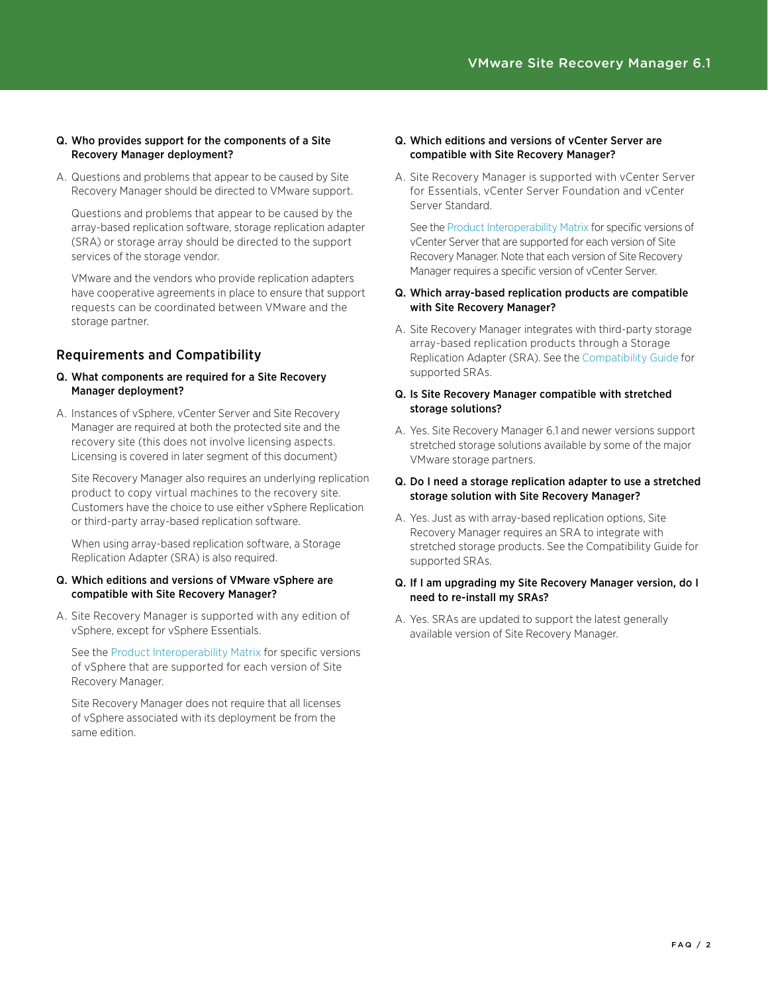# Q. Who provides support for the components of a Site Recovery Manager deployment?

A. Questions and problems that appear to be caused by Site Recovery Manager should be directed to VMware support.

Questions and problems that appear to be caused by the array-based replication software, storage replication adapter (SRA) or storage array should be directed to the support services of the storage vendor.

VMware and the vendors who provide replication adapters have cooperative agreements in place to ensure that support requests can be coordinated between VMware and the storage partner.

# Requirements and Compatibility

#### Q. What components are required for a Site Recovery Manager deployment?

A. Instances of vSphere, vCenter Server and Site Recovery Manager are required at both the protected site and the recovery site (this does not involve licensing aspects. Licensing is covered in later segment of this document)

Site Recovery Manager also requires an underlying replication product to copy virtual machines to the recovery site. Customers have the choice to use either vSphere Replication or third-party array-based replication software.

When using array-based replication software, a Storage Replication Adapter (SRA) is also required.

#### Q. Which editions and versions of VMware vSphere are compatible with Site Recovery Manager?

A. Site Recovery Manager is supported with any edition of vSphere, except for vSphere Essentials.

See the [Product Interoperability Matrix](http://www.vmware.com/resources/compatibility/sim/interop_matrix.php) for specific versions of vSphere that are supported for each version of Site Recovery Manager.

Site Recovery Manager does not require that all licenses of vSphere associated with its deployment be from the same edition.

#### Q. Which editions and versions of vCenter Server are compatible with Site Recovery Manager?

A. Site Recovery Manager is supported with vCenter Server for Essentials, vCenter Server Foundation and vCenter Server Standard.

See the Product Interoperability Matrix for specific versions of vCenter Server that are supported for each version of Site Recovery Manager. Note that each version of Site Recovery Manager requires a specific version of vCenter Server.

#### Q. Which array-based replication products are compatible with Site Recovery Manager?

- A. Site Recovery Manager integrates with third-party storage array-based replication products through a Storage Replication Adapter (SRA). See the [Compatibility Guide](http://www.vmware.com/resources/compatibility/search.php?deviceCategory=sra) for supported SRAs.
- Q. Is Site Recovery Manager compatible with stretched storage solutions?
- A. Yes. Site Recovery Manager 6.1 and newer versions support stretched storage solutions available by some of the major VMware storage partners.

## Q. Do I need a storage replication adapter to use a stretched storage solution with Site Recovery Manager?

A. Yes. Just as with array-based replication options, Site Recovery Manager requires an SRA to integrate with stretched storage products. See the Compatibility Guide for supported SRAs.

# Q. If I am upgrading my Site Recovery Manager version, do I need to re-install my SRAs?

A. Yes. SRAs are updated to support the latest generally available version of Site Recovery Manager.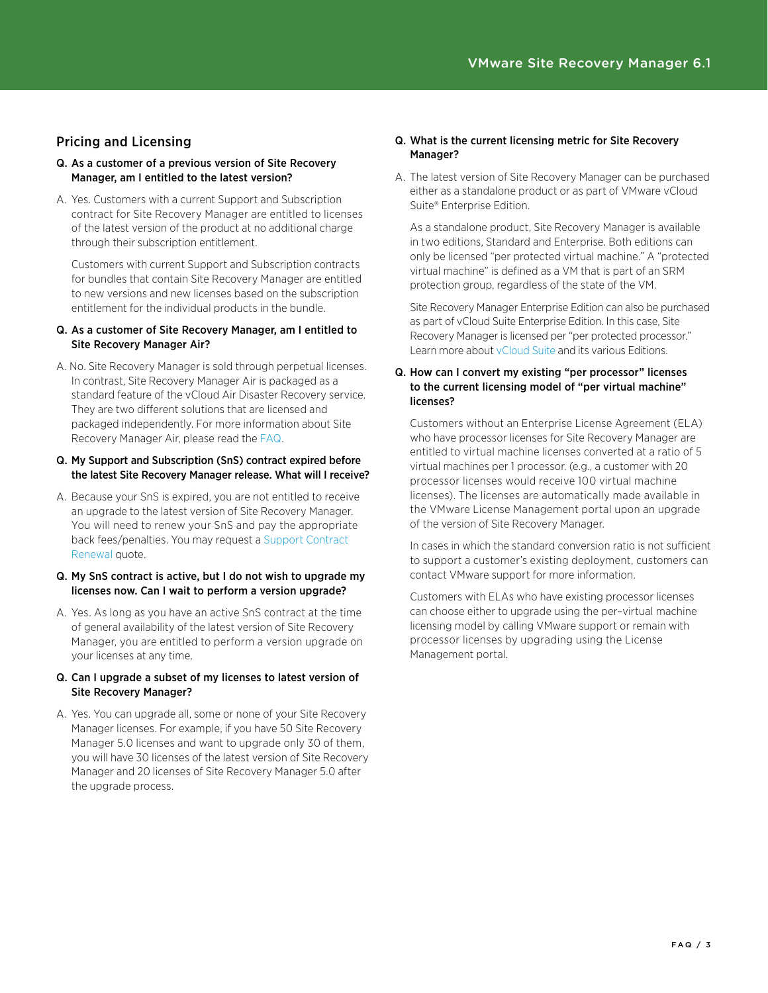# Pricing and Licensing

- Q. As a customer of a previous version of Site Recovery Manager, am I entitled to the latest version?
- A. Yes. Customers with a current Support and Subscription contract for Site Recovery Manager are entitled to licenses of the latest version of the product at no additional charge through their subscription entitlement.

Customers with current Support and Subscription contracts for bundles that contain Site Recovery Manager are entitled to new versions and new licenses based on the subscription entitlement for the individual products in the bundle.

#### Q. As a customer of Site Recovery Manager, am I entitled to Site Recovery Manager Air?

A. No. Site Recovery Manager is sold through perpetual licenses. In contrast, Site Recovery Manager Air is packaged as a standard feature of the vCloud Air Disaster Recovery service. They are two different solutions that are licensed and packaged independently. For more information about Site Recovery Manager Air, please read the [FAQ.](http://www.vmware.com/files/pdf/vcloud-air/site-recovery-manager-air-FAQ.pdf)

#### Q. My Support and Subscription (SnS) contract expired before the latest Site Recovery Manager release. What will I receive?

A. Because your SnS is expired, you are not entitled to receive an upgrade to the latest version of Site Recovery Manager. You will need to renew your SnS and pay the appropriate back fees/penalties. You may request a Support Contract Renewal quote.

#### Q. My SnS contract is active, but I do not wish to upgrade my licenses now. Can I wait to perform a version upgrade?

A. Yes. As long as you have an active SnS contract at the time of general availability of the latest version of Site Recovery Manager, you are entitled to perform a version upgrade on your licenses at any time.

#### Q. Can I upgrade a subset of my licenses to latest version of Site Recovery Manager?

A. Yes. You can upgrade all, some or none of your Site Recovery Manager licenses. For example, if you have 50 Site Recovery Manager 5.0 licenses and want to upgrade only 30 of them, you will have 30 licenses of the latest version of Site Recovery Manager and 20 licenses of Site Recovery Manager 5.0 after the upgrade process.

#### Q. What is the current licensing metric for Site Recovery Manager?

A. The latest version of Site Recovery Manager can be purchased either as a standalone product or as part of VMware vCloud Suite® Enterprise Edition.

As a standalone product, Site Recovery Manager is available in two editions, Standard and Enterprise. Both editions can only be licensed "per protected virtual machine." A "protected virtual machine" is defined as a VM that is part of an SRM protection group, regardless of the state of the VM.

Site Recovery Manager Enterprise Edition can also be purchased as part of vCloud Suite Enterprise Edition. In this case, Site Recovery Manager is licensed per "per protected processor." Learn more about vCloud Suite and its various Editions.

#### Q. How can I convert my existing "per processor" licenses to the current licensing model of "per virtual machine" licenses?

Customers without an Enterprise License Agreement (ELA) who have processor licenses for Site Recovery Manager are entitled to virtual machine licenses converted at a ratio of 5 virtual machines per 1 processor. (e.g., a customer with 20 processor licenses would receive 100 virtual machine licenses). The licenses are automatically made available in the VMware License Management portal upon an upgrade of the version of Site Recovery Manager.

In cases in which the standard conversion ratio is not sufficient to support a customer's existing deployment, customers can contact VMware support for more information.

Customers with ELAs who have existing processor licenses can choose either to upgrade using the per–virtual machine licensing model by calling VMware support or remain with processor licenses by upgrading using the License Management portal.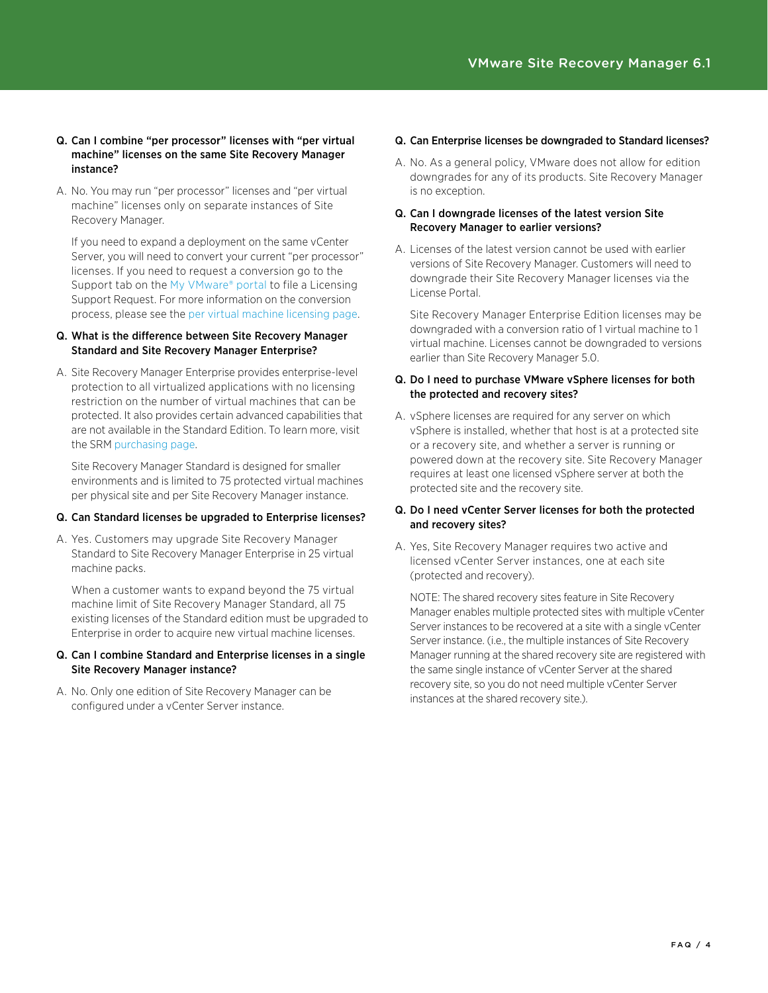#### Q. Can I combine "per processor" licenses with "per virtual machine" licenses on the same Site Recovery Manager instance?

A. No. You may run "per processor" licenses and "per virtual machine" licenses only on separate instances of Site Recovery Manager.

If you need to expand a deployment on the same vCenter Server, you will need to convert your current "per processor" licenses. If you need to request a conversion go to the Support tab on the My VMware® portal to file a Licensing Support Request. For more information on the conversion process, please see the [per virtual machine licensing page](https://www.vmware.com/support/support-resources/licensing/per-vm).

# Q. What is the difference between Site Recovery Manager Standard and Site Recovery Manager Enterprise?

A. Site Recovery Manager Enterprise provides enterprise-level protection to all virtualized applications with no licensing restriction on the number of virtual machines that can be protected. It also provides certain advanced capabilities that are not available in the Standard Edition. To learn more, visit the SRM purchasing page.

Site Recovery Manager Standard is designed for smaller environments and is limited to 75 protected virtual machines per physical site and per Site Recovery Manager instance.

# Q. Can Standard licenses be upgraded to Enterprise licenses?

A. Yes. Customers may upgrade Site Recovery Manager Standard to Site Recovery Manager Enterprise in 25 virtual machine packs.

When a customer wants to expand beyond the 75 virtual machine limit of Site Recovery Manager Standard, all 75 existing licenses of the Standard edition must be upgraded to Enterprise in order to acquire new virtual machine licenses.

#### Q. Can I combine Standard and Enterprise licenses in a single Site Recovery Manager instance?

A. No. Only one edition of Site Recovery Manager can be configured under a vCenter Server instance.

# Q. Can Enterprise licenses be downgraded to Standard licenses?

A. No. As a general policy, VMware does not allow for edition downgrades for any of its products. Site Recovery Manager is no exception.

# Q. Can I downgrade licenses of the latest version Site Recovery Manager to earlier versions?

A. Licenses of the latest version cannot be used with earlier versions of Site Recovery Manager. Customers will need to downgrade their Site Recovery Manager licenses via the License Portal.

Site Recovery Manager Enterprise Edition licenses may be downgraded with a conversion ratio of 1 virtual machine to 1 virtual machine. Licenses cannot be downgraded to versions earlier than Site Recovery Manager 5.0.

# Q. Do I need to purchase VMware vSphere licenses for both the protected and recovery sites?

A. vSphere licenses are required for any server on which vSphere is installed, whether that host is at a protected site or a recovery site, and whether a server is running or powered down at the recovery site. Site Recovery Manager requires at least one licensed vSphere server at both the protected site and the recovery site.

# Q. Do I need vCenter Server licenses for both the protected and recovery sites?

A. Yes, Site Recovery Manager requires two active and licensed vCenter Server instances, one at each site (protected and recovery).

NOTE: The shared recovery sites feature in Site Recovery Manager enables multiple protected sites with multiple vCenter Server instances to be recovered at a site with a single vCenter Server instance. (i.e., the multiple instances of Site Recovery Manager running at the shared recovery site are registered with the same single instance of vCenter Server at the shared recovery site, so you do not need multiple vCenter Server instances at the shared recovery site.).